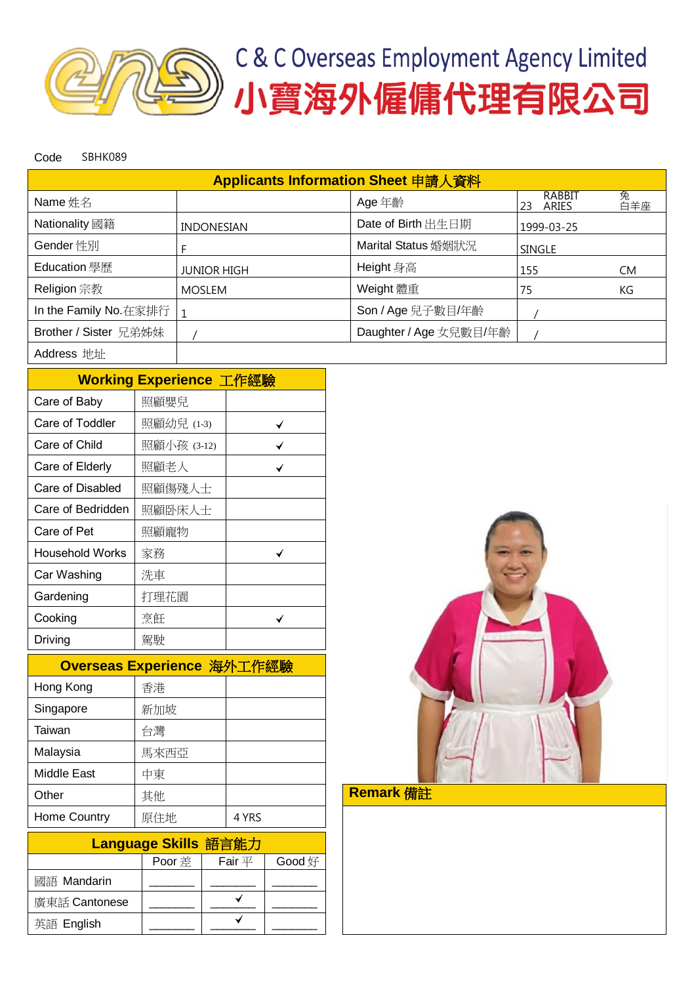

Code SBHK089

| Applicants Information Sheet 申請人資料 |                    |                        |                       |          |  |  |  |  |
|------------------------------------|--------------------|------------------------|-----------------------|----------|--|--|--|--|
| Name 姓名                            |                    | Age 年齡                 | RABBIT<br>23<br>ARIES | 兔<br>百羊座 |  |  |  |  |
| Nationality 國籍                     | <b>INDONESIAN</b>  | Date of Birth 出生日期     | 1999-03-25            |          |  |  |  |  |
| Gender 性別                          |                    | Marital Status 婚姻狀況    | <b>SINGLE</b>         |          |  |  |  |  |
| Education 學歷                       | <b>JUNIOR HIGH</b> | Height 身高              | 155                   | CM.      |  |  |  |  |
| Religion 宗教                        | <b>MOSLEM</b>      | Weight 體重              | 75                    | KG       |  |  |  |  |
| In the Family No.在家排行              | 1                  | Son / Age 兒子數目/年齡      |                       |          |  |  |  |  |
| Brother / Sister 兄弟姊妹              |                    | Daughter / Age 女兒數目/年齡 |                       |          |  |  |  |  |
| Address 地址                         |                    |                        |                       |          |  |  |  |  |

|                        | Working Experience 工作經驗 |  |  |  |  |  |  |
|------------------------|-------------------------|--|--|--|--|--|--|
| Care of Baby           | 照顧嬰兒                    |  |  |  |  |  |  |
| Care of Toddler        | 照顧幼兒 (1-3)              |  |  |  |  |  |  |
| Care of Child          | 照顧小孩 (3-12)             |  |  |  |  |  |  |
| Care of Elderly        | 照顧老人                    |  |  |  |  |  |  |
| Care of Disabled       | 照顧傷殘人士                  |  |  |  |  |  |  |
| Care of Bedridden      | 照顧卧床人士                  |  |  |  |  |  |  |
| Care of Pet            | 照顧寵物                    |  |  |  |  |  |  |
| <b>Household Works</b> | 家務                      |  |  |  |  |  |  |
| Car Washing            | 洗車                      |  |  |  |  |  |  |
| Gardening              | 打理花園                    |  |  |  |  |  |  |
| Cooking                | 烹飪                      |  |  |  |  |  |  |
| Driving                | 駕駛                      |  |  |  |  |  |  |

| Overseas Experience 海外工作經驗 |      |       |  |  |  |  |
|----------------------------|------|-------|--|--|--|--|
| Hong Kong                  | 香港   |       |  |  |  |  |
| Singapore                  | 新加坡  |       |  |  |  |  |
| Taiwan                     | 台灣   |       |  |  |  |  |
| Malaysia                   | 馬來西亞 |       |  |  |  |  |
| <b>Middle East</b>         | 中東   |       |  |  |  |  |
| Other                      | 其他   |       |  |  |  |  |
| Home Country               | 原住地  | 4 YRS |  |  |  |  |

| Language Skills 語言能力 |               |             |        |  |  |  |
|----------------------|---------------|-------------|--------|--|--|--|
|                      | <b>Poor</b> 差 | Fair $\Psi$ | Good 好 |  |  |  |
| 國語 Mandarin          |               |             |        |  |  |  |
| 廣東話 Cantonese        |               |             |        |  |  |  |
| 英語 English           |               |             |        |  |  |  |



Remark 備註